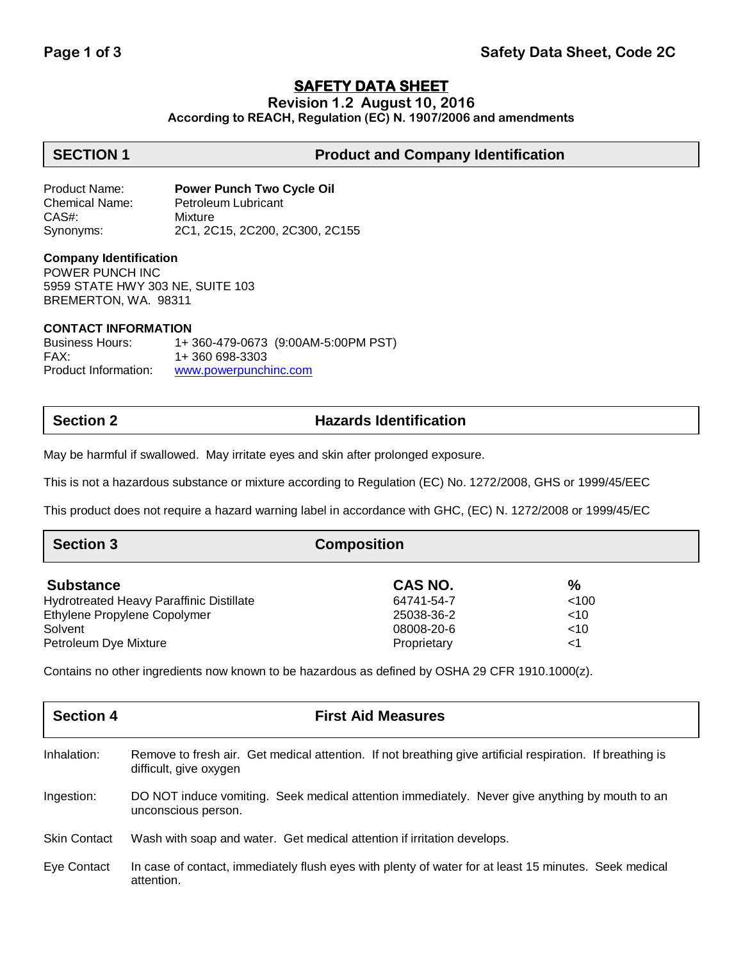# **SAFETY DATA SHEET**

**Revision 1.2 August 10, 2016**

**According to REACH, Regulation (EC) N. 1907/2006 and amendments**

# **SECTION 1 Product and Company Identification**

Product Name: **Power Punch Two Cycle Oil** Chemical Name: Petroleum Lubricant CAS#: Mixture Synonyms: 2C1, 2C15, 2C200, 2C300, 2C155

### **Company Identification**

POWER PUNCH INC 5959 STATE HWY 303 NE, SUITE 103 BREMERTON, WA. 98311

### **CONTACT INFORMATION**

Business Hours: 1+ 360-479-0673 (9:00AM-5:00PM PST) FAX: 1+ 360 698-3303 Product Information: [www.powerpunchinc.com](http://www.powerpunchinc.com/)

# **Section 2 Hazards Identification**

May be harmful if swallowed. May irritate eyes and skin after prolonged exposure.

This is not a hazardous substance or mixture according to Regulation (EC) No. 1272/2008, GHS or 1999/45/EEC

This product does not require a hazard warning label in accordance with GHC, (EC) N. 1272/2008 or 1999/45/EC

| <b>Section 3</b>                                | <b>Composition</b> |        |  |
|-------------------------------------------------|--------------------|--------|--|
| <b>Substance</b>                                | CAS NO.            | $\%$   |  |
| <b>Hydrotreated Heavy Paraffinic Distillate</b> | 64741-54-7         | < 100  |  |
| Ethylene Propylene Copolymer                    | 25038-36-2         | $<$ 10 |  |
| Solvent                                         | 08008-20-6         | $<$ 10 |  |
| Petroleum Dye Mixture                           | Proprietary        | $<$ 1  |  |

Contains no other ingredients now known to be hazardous as defined by OSHA 29 CFR 1910.1000(z).

| <b>Section 4</b>    | <b>First Aid Measures</b>                                                                                                           |
|---------------------|-------------------------------------------------------------------------------------------------------------------------------------|
| Inhalation:         | Remove to fresh air. Get medical attention. If not breathing give artificial respiration. If breathing is<br>difficult, give oxygen |
| Ingestion:          | DO NOT induce vomiting. Seek medical attention immediately. Never give anything by mouth to an<br>unconscious person.               |
| <b>Skin Contact</b> | Wash with soap and water. Get medical attention if irritation develops.                                                             |
| Eye Contact         | In case of contact, immediately flush eyes with plenty of water for at least 15 minutes. Seek medical<br>attention.                 |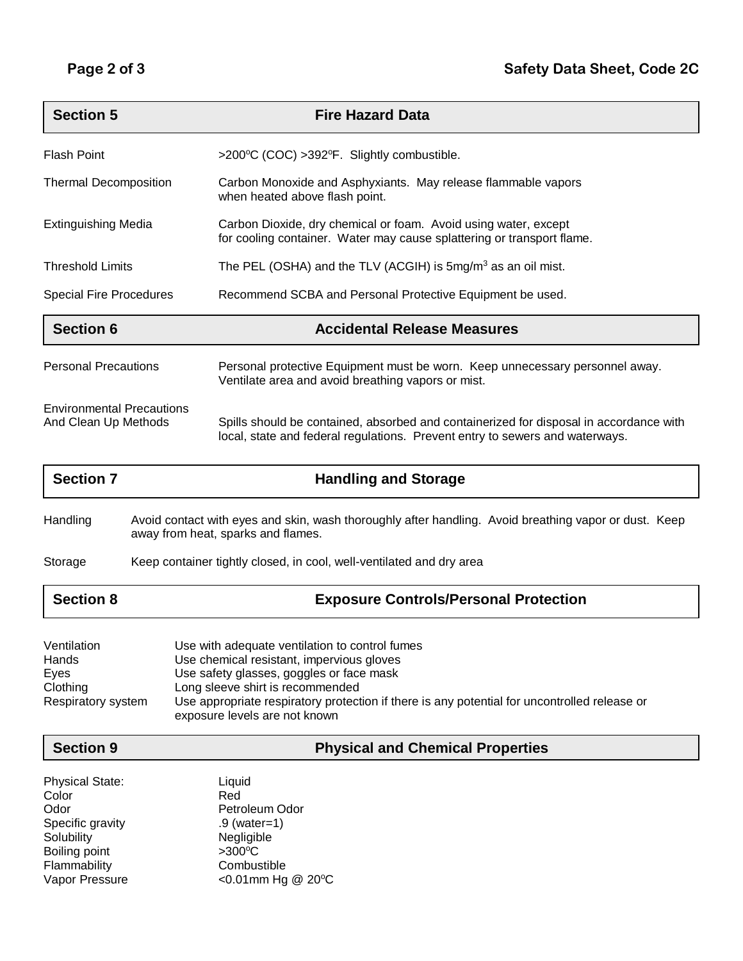| <b>Section 5</b>                                         | <b>Fire Hazard Data</b>                                                                                                                                                |
|----------------------------------------------------------|------------------------------------------------------------------------------------------------------------------------------------------------------------------------|
| <b>Flash Point</b>                                       | >200°C (COC) >392°F. Slightly combustible.                                                                                                                             |
| <b>Thermal Decomposition</b>                             | Carbon Monoxide and Asphyxiants. May release flammable vapors<br>when heated above flash point.                                                                        |
| Extinguishing Media                                      | Carbon Dioxide, dry chemical or foam. Avoid using water, except<br>for cooling container. Water may cause splattering or transport flame.                              |
| <b>Threshold Limits</b>                                  | The PEL (OSHA) and the TLV (ACGIH) is $5mg/m3$ as an oil mist.                                                                                                         |
| <b>Special Fire Procedures</b>                           | Recommend SCBA and Personal Protective Equipment be used.                                                                                                              |
| <b>Section 6</b>                                         | <b>Accidental Release Measures</b>                                                                                                                                     |
| <b>Personal Precautions</b>                              | Personal protective Equipment must be worn. Keep unnecessary personnel away.<br>Ventilate area and avoid breathing vapors or mist.                                     |
| <b>Environmental Precautions</b><br>And Clean Up Methods | Spills should be contained, absorbed and containerized for disposal in accordance with<br>local, state and federal regulations. Prevent entry to sewers and waterways. |

| <b>Section 7</b> | <b>Handling and Storage</b>                                                                                                                 |
|------------------|---------------------------------------------------------------------------------------------------------------------------------------------|
| Handling         | Avoid contact with eyes and skin, wash thoroughly after handling. Avoid breathing vapor or dust. Keep<br>away from heat, sparks and flames. |
| Storage          | Keep container tightly closed, in cool, well-ventilated and dry area                                                                        |
| <b>Section 8</b> | <b>Exposure Controls/Personal Protection</b>                                                                                                |

| Ventilation        | Use with adequate ventilation to control fumes                                                                                |
|--------------------|-------------------------------------------------------------------------------------------------------------------------------|
| Hands              | Use chemical resistant, impervious gloves                                                                                     |
| Eves               | Use safety glasses, goggles or face mask                                                                                      |
| Clothing           | Long sleeve shirt is recommended                                                                                              |
| Respiratory system | Use appropriate respiratory protection if there is any potential for uncontrolled release or<br>exposure levels are not known |

**Section 9 Physical and Chemical Properties**

| <b>Physical State:</b> | Liquid            |
|------------------------|-------------------|
| Color                  | Red               |
| Odor                   | Petroleum Odor    |
| Specific gravity       | $.9$ (water=1)    |
| Solubility             | Negligible        |
| Boiling point          | $>300^{\circ}$ C  |
| Flammability           | Combustible       |
| Vapor Pressure         | <0.01mm Hg @ 20°C |
|                        |                   |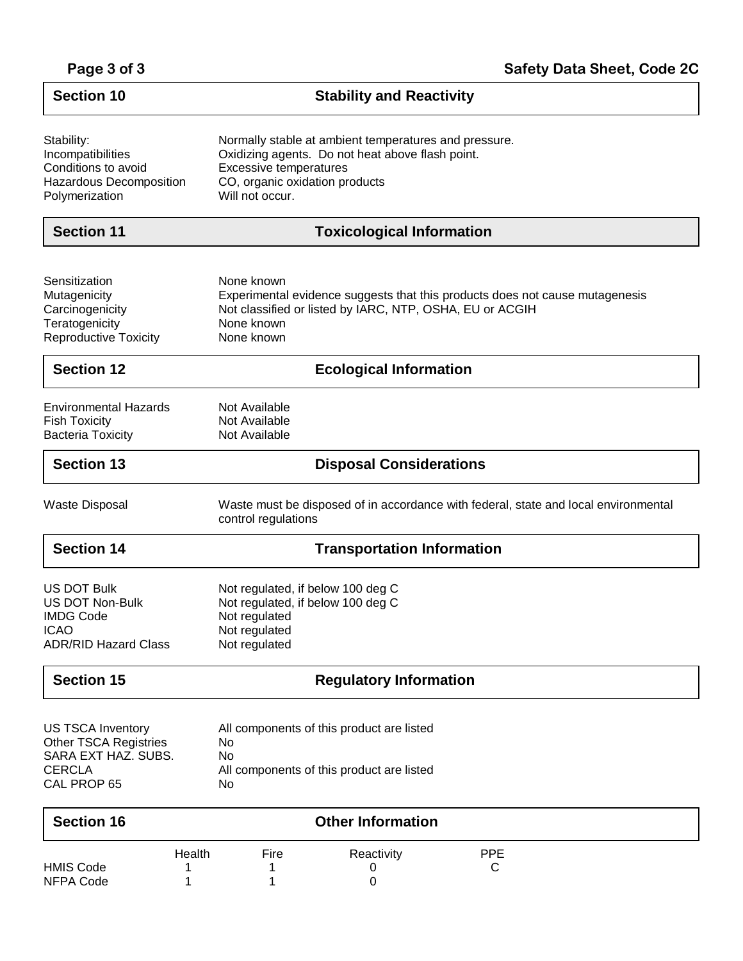| Page 3 of 3 |  |  |  |
|-------------|--|--|--|
|-------------|--|--|--|

 $\overline{\mathsf{I}}$ 

| <b>Section 10</b>                              | <b>Stability and Reactivity</b>                                                                            |  |
|------------------------------------------------|------------------------------------------------------------------------------------------------------------|--|
| Stability:<br>Incompatibilities                | Normally stable at ambient temperatures and pressure.<br>Oxidizing agents. Do not heat above flash point.  |  |
| Conditions to avoid<br>Hazardous Decomposition | <b>Excessive temperatures</b><br>CO, organic oxidation products                                            |  |
| Polymerization                                 | Will not occur.                                                                                            |  |
| <b>Section 11</b>                              | <b>Toxicological Information</b>                                                                           |  |
| Sensitization                                  | None known                                                                                                 |  |
| Mutagenicity                                   | Experimental evidence suggests that this products does not cause mutagenesis                               |  |
| Carcinogenicity                                | Not classified or listed by IARC, NTP, OSHA, EU or ACGIH                                                   |  |
| Teratogenicity<br><b>Reproductive Toxicity</b> | None known<br>None known                                                                                   |  |
| <b>Section 12</b>                              | <b>Ecological Information</b>                                                                              |  |
| <b>Environmental Hazards</b>                   | Not Available                                                                                              |  |
| <b>Fish Toxicity</b>                           | Not Available                                                                                              |  |
| <b>Bacteria Toxicity</b>                       | Not Available                                                                                              |  |
| <b>Section 13</b>                              | <b>Disposal Considerations</b>                                                                             |  |
| <b>Waste Disposal</b>                          | Waste must be disposed of in accordance with federal, state and local environmental<br>control regulations |  |
| <b>Section 14</b>                              | <b>Transportation Information</b>                                                                          |  |
| <b>US DOT Bulk</b>                             | Not regulated, if below 100 deg C                                                                          |  |
| <b>US DOT Non-Bulk</b><br><b>IMDG Code</b>     | Not regulated, if below 100 deg C                                                                          |  |
| <b>ICAO</b>                                    | Not regulated<br>Not regulated                                                                             |  |
| <b>ADR/RID Hazard Class</b>                    | Not regulated                                                                                              |  |
| <b>Section 15</b>                              | <b>Regulatory Information</b>                                                                              |  |
| <b>US TSCA Inventory</b>                       | All components of this product are listed                                                                  |  |
| <b>Other TSCA Registries</b>                   | No                                                                                                         |  |
| SARA EXT HAZ. SUBS.                            | No                                                                                                         |  |
| <b>CERCLA</b><br>CAL PROP 65                   | All components of this product are listed<br>No                                                            |  |
| <b>Section 16</b>                              | <b>Other Information</b>                                                                                   |  |
|                                                | Health<br><b>PPE</b><br>Fire<br>Reactivity                                                                 |  |
| <b>HMIS Code</b>                               | С<br>1<br>0                                                                                                |  |
| <b>NFPA Code</b>                               | 0                                                                                                          |  |